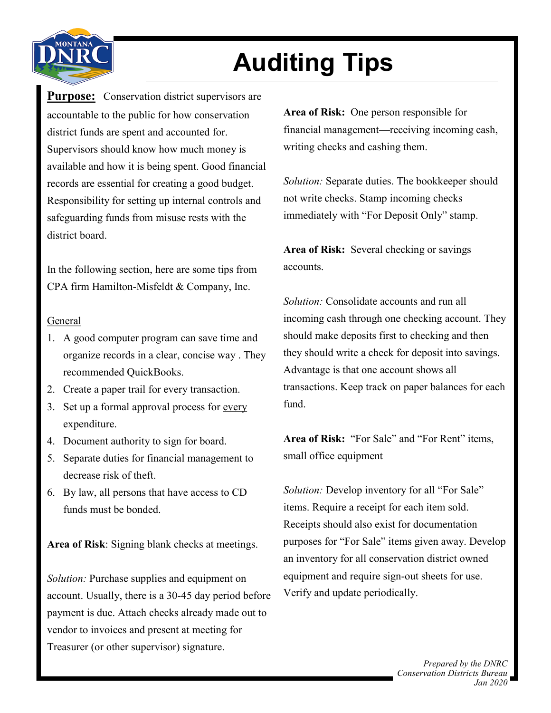

## **Auditing Tips**

**Purpose:** Conservation district supervisors are accountable to the public for how conservation district funds are spent and accounted for. Supervisors should know how much money is available and how it is being spent. Good financial records are essential for creating a good budget. Responsibility for setting up internal controls and safeguarding funds from misuse rests with the district board.

In the following section, here are some tips from CPA firm Hamilton-Misfeldt & Company, Inc.

## General

- 1. A good computer program can save time and organize records in a clear, concise way . They recommended QuickBooks.
- 2. Create a paper trail for every transaction.
- 3. Set up a formal approval process for every expenditure.
- 4. Document authority to sign for board.
- 5. Separate duties for financial management to decrease risk of theft.
- 6. By law, all persons that have access to CD funds must be bonded.

**Area of Risk**: Signing blank checks at meetings.

*Solution:* Purchase supplies and equipment on account. Usually, there is a 30-45 day period before payment is due. Attach checks already made out to vendor to invoices and present at meeting for Treasurer (or other supervisor) signature.

**Area of Risk:** One person responsible for financial management—receiving incoming cash, writing checks and cashing them.

*Solution:* Separate duties. The bookkeeper should not write checks. Stamp incoming checks immediately with "For Deposit Only" stamp.

**Area of Risk:** Several checking or savings accounts.

*Solution:* Consolidate accounts and run all incoming cash through one checking account. They should make deposits first to checking and then they should write a check for deposit into savings. Advantage is that one account shows all transactions. Keep track on paper balances for each fund.

**Area of Risk:** "For Sale" and "For Rent" items, small office equipment

*Solution:* Develop inventory for all "For Sale" items. Require a receipt for each item sold. Receipts should also exist for documentation purposes for "For Sale" items given away. Develop an inventory for all conservation district owned equipment and require sign-out sheets for use. Verify and update periodically.

> *Prepared by the DNRC Conservation Districts Bureau Jan 2020*